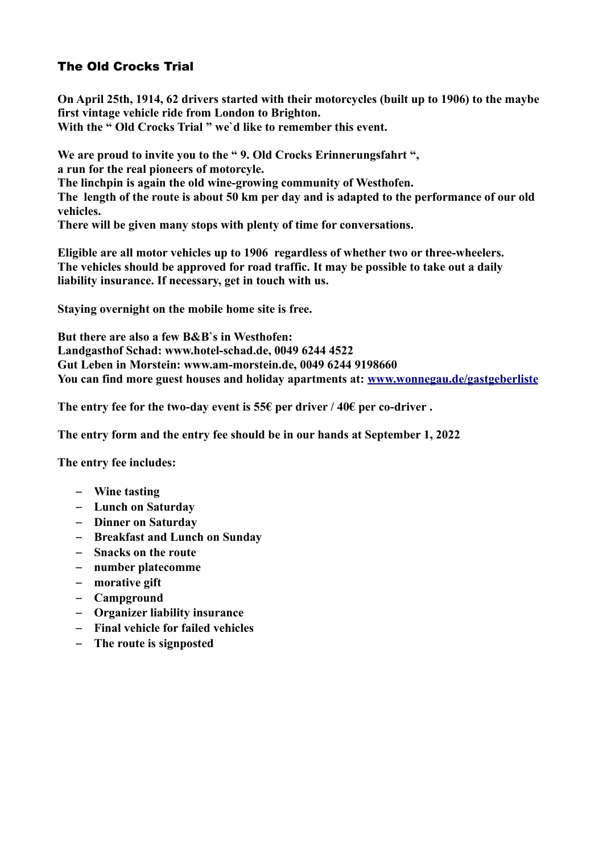## The Old Crocks Trial

**On April 25th, 1914, 62 drivers started with their motorcycles (built up to 1906) to the maybe first vintage vehicle ride from London to Brighton. With the " Old Crocks Trial " we`d like to remember this event.**

**We are proud to invite you to the " 9. Old Crocks Erinnerungsfahrt ", a run for the real pioneers of motorcyle. The linchpin is again the old wine-growing community of Westhofen. The length of the route is about 50 km per day and is adapted to the performance of our old vehicles. There will be given many stops with plenty of time for conversations.** 

**Eligible are all motor vehicles up to 1906 regardless of whether two or three-wheelers. The vehicles should be approved for road traffic. It may be possible to take out a daily liability insurance. If necessary, get in touch with us.** 

**Staying overnight on the mobile home site is free.** 

**But there are also a few B&B`s in Westhofen: Landgasthof Schad: www.hotel-schad.de, 0049 6244 4522 Gut Leben in Morstein: www.am-morstein.de, 0049 6244 9198660 You can find more guest houses and holiday apartments at: [www.wonnegau.de/gastgeberliste](http://www.wonnegau.de/gastgeberliste)**

**The entry fee for the two-day event is 55€ per driver / 40€ per co-driver .**

**The entry form and the entry fee should be in our hands at September 1, 2022** 

**The entry fee includes:**

- **Wine tasting**
- **Lunch on Saturday**
- **Dinner on Saturday**
- **Breakfast and Lunch on Sunday**
- **Snacks on the route**
- **number platecomme**
- **morative gift**
- **Campground**
- **Organizer liability insurance**
- **Final vehicle for failed vehicles**
- **The route is signposted**